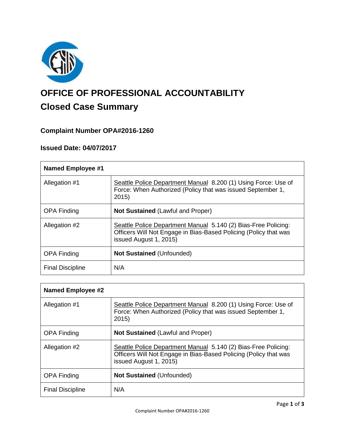

# **OFFICE OF PROFESSIONAL ACCOUNTABILITY Closed Case Summary**

# **Complaint Number OPA#2016-1260**

#### **Issued Date: 04/07/2017**

| <b>Named Employee #1</b> |                                                                                                                                                              |
|--------------------------|--------------------------------------------------------------------------------------------------------------------------------------------------------------|
| Allegation #1            | Seattle Police Department Manual 8.200 (1) Using Force: Use of<br>Force: When Authorized (Policy that was issued September 1,<br>2015)                       |
| <b>OPA Finding</b>       | <b>Not Sustained (Lawful and Proper)</b>                                                                                                                     |
| Allegation #2            | Seattle Police Department Manual 5.140 (2) Bias-Free Policing:<br>Officers Will Not Engage in Bias-Based Policing (Policy that was<br>issued August 1, 2015) |
| <b>OPA Finding</b>       | <b>Not Sustained (Unfounded)</b>                                                                                                                             |
| <b>Final Discipline</b>  | N/A                                                                                                                                                          |

| <b>Named Employee #2</b> |                                                                                                                                                              |  |
|--------------------------|--------------------------------------------------------------------------------------------------------------------------------------------------------------|--|
| Allegation #1            | Seattle Police Department Manual 8.200 (1) Using Force: Use of<br>Force: When Authorized (Policy that was issued September 1,<br>2015)                       |  |
| <b>OPA Finding</b>       | <b>Not Sustained (Lawful and Proper)</b>                                                                                                                     |  |
| Allegation #2            | Seattle Police Department Manual 5.140 (2) Bias-Free Policing:<br>Officers Will Not Engage in Bias-Based Policing (Policy that was<br>issued August 1, 2015) |  |
| <b>OPA Finding</b>       | <b>Not Sustained (Unfounded)</b>                                                                                                                             |  |
| <b>Final Discipline</b>  | N/A                                                                                                                                                          |  |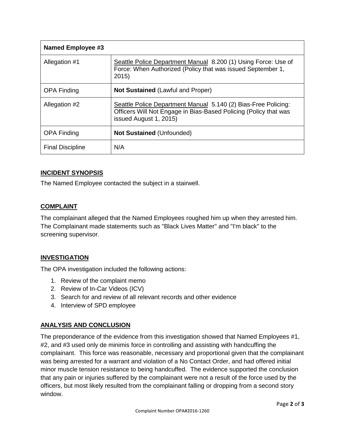| <b>Named Employee #3</b> |                                                                                                                                                              |
|--------------------------|--------------------------------------------------------------------------------------------------------------------------------------------------------------|
| Allegation #1            | Seattle Police Department Manual 8.200 (1) Using Force: Use of<br>Force: When Authorized (Policy that was issued September 1,<br>2015                        |
| <b>OPA Finding</b>       | <b>Not Sustained (Lawful and Proper)</b>                                                                                                                     |
| Allegation #2            | Seattle Police Department Manual 5.140 (2) Bias-Free Policing:<br>Officers Will Not Engage in Bias-Based Policing (Policy that was<br>issued August 1, 2015) |
| <b>OPA Finding</b>       | <b>Not Sustained (Unfounded)</b>                                                                                                                             |
| <b>Final Discipline</b>  | N/A                                                                                                                                                          |

# **INCIDENT SYNOPSIS**

The Named Employee contacted the subject in a stairwell.

# **COMPLAINT**

The complainant alleged that the Named Employees roughed him up when they arrested him. The Complainant made statements such as "Black Lives Matter" and "I'm black" to the screening supervisor.

# **INVESTIGATION**

The OPA investigation included the following actions:

- 1. Review of the complaint memo
- 2. Review of In-Car Videos (ICV)
- 3. Search for and review of all relevant records and other evidence
- 4. Interview of SPD employee

# **ANALYSIS AND CONCLUSION**

The preponderance of the evidence from this investigation showed that Named Employees #1, #2, and #3 used only de minimis force in controlling and assisting with handcuffing the complainant. This force was reasonable, necessary and proportional given that the complainant was being arrested for a warrant and violation of a No Contact Order, and had offered initial minor muscle tension resistance to being handcuffed. The evidence supported the conclusion that any pain or injuries suffered by the complainant were not a result of the force used by the officers, but most likely resulted from the complainant falling or dropping from a second story window.